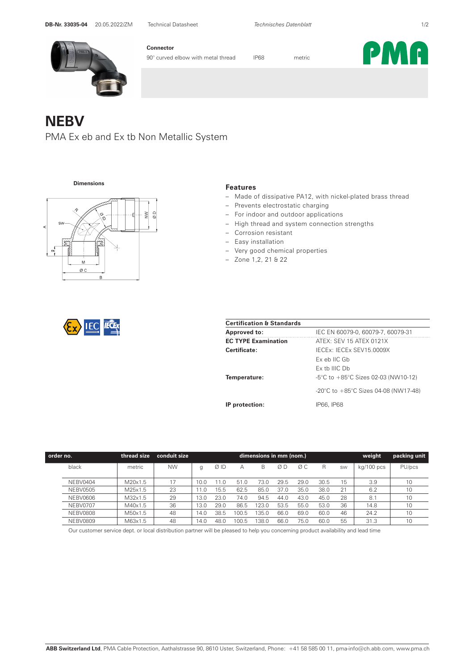

**Connector**

90° curved elbow with metal thread IP68 metric



**NEBV** 

PMA Ex eb and Ex tb Non Metallic System

**Dimensions**





|--|

- Made of dissipative PA12, with nickel-plated brass thread
	- Prevents electrostatic charging
- indoor and outdoor applications
- $\Theta$ ight thread and system connection strengths
- Corrosion resistant
- Easy installation
- Very good chemical properties
- Zone 1,2, 21 & 22

| <b>Certification &amp; Standards</b> |                                                          |  |  |  |
|--------------------------------------|----------------------------------------------------------|--|--|--|
| <b>Approved to:</b>                  | IEC EN 60079-0, 60079-7, 60079-31                        |  |  |  |
| <b>EC TYPE Examination</b>           | ATEX: SEV 15 ATEX 0121X                                  |  |  |  |
| Certificate:                         | IECEX: IECEX SEV15.0009X                                 |  |  |  |
|                                      | $Fx$ eb IIC Gb                                           |  |  |  |
|                                      | $Fx$ th IIIC Dh                                          |  |  |  |
| Temperature:                         | $-5^{\circ}$ C to $+85^{\circ}$ C Sizes 02-03 (NW10-12)  |  |  |  |
|                                      | -20 $\degree$ C to +85 $\degree$ C Sizes 04-08 (NW17-48) |  |  |  |
| IP protection:                       | IP66, IP68                                               |  |  |  |

| order no. |                 | thread size         | conduit size | weight<br>dimensions in mm (nom.) |      |       |       |      |      |      |           |            | packing unit |
|-----------|-----------------|---------------------|--------------|-----------------------------------|------|-------|-------|------|------|------|-----------|------------|--------------|
|           | black           | metric              | <b>NW</b>    | g                                 | ØID  | А     | B     | ØΒ   | ØΣ   | R    | <b>SW</b> | kg/100 pcs | PU/pcs       |
|           |                 |                     |              |                                   |      |       |       |      |      |      |           |            |              |
|           | NEBV0404        | M20x1.5             | 17           | i 0.0                             | 11.0 | 51.0  | 73.0  | 29.5 | 29.0 | 30.5 | 15        | 3.9        | 10           |
|           | <b>NEBV0505</b> | M25x1.5             | 23           | 11.0                              | 15.5 | 62.5  | 85.0  | 37.0 | 35.0 | 38.0 | 21        | 6.2        | 10           |
|           | NEBV0606        | M <sub>32x1.5</sub> | 29           | 13.0                              | 23.0 | 74.0  | 94.5  | 44.0 | 43.0 | 45.0 | 28        | 8.1        | 10           |
|           | <b>NEBV0707</b> | M40x1.5             | 36           | 13.0                              | 29.0 | 86.5  | 123.0 | 53.5 | 55.0 | 53.0 | 36        | 14.8       | 10           |
|           | <b>NEBV0808</b> | M50x1.5             | 48           | 14.0                              | 38.5 | 100.5 | 135.0 | 66.0 | 69.0 | 60.0 | 46        | 24.2       | 10           |
|           | <b>NEBV0809</b> | M63x1.5             | 48           | 14.0                              | 48.0 | 100.5 | 138.0 | 66.0 | 75.0 | 60.0 | 55        | 31.3       | 10           |

Our customer service dept. or local distribution partner will be pleased to help you concerning product availability and lead time